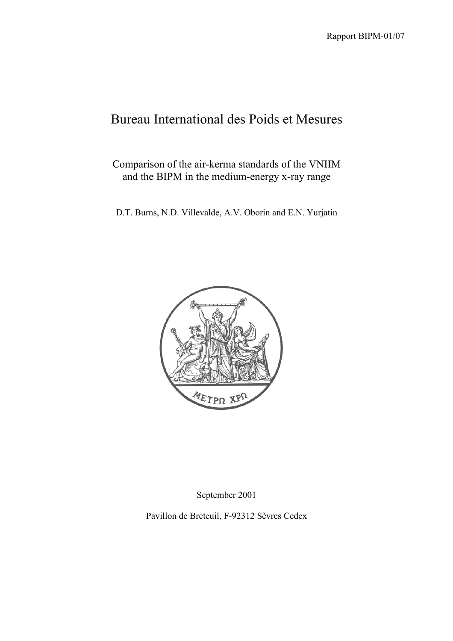# Bureau International des Poids et Mesures

# Comparison of the air-kerma standards of the VNIIM and the BIPM in the medium-energy x-ray range

D.T. Burns, N.D. Villevalde, A.V. Oborin and E.N. Yurjatin



September 2001

Pavillon de Breteuil, F-92312 Sèvres Cedex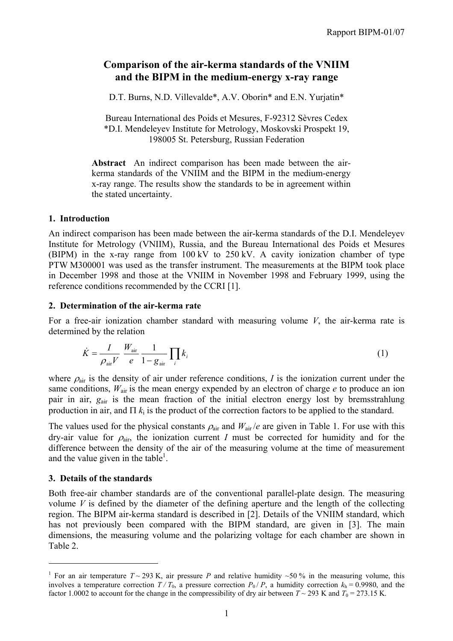# **Comparison of the air-kerma standards of the VNIIM and the BIPM in the medium-energy x-ray range**

D.T. Burns, N.D. Villevalde\*, A.V. Oborin\* and E.N. Yurjatin\*

Bureau International des Poids et Mesures, F-92312 Sèvres Cedex \*D.I. Mendeleyev Institute for Metrology, Moskovski Prospekt 19, 198005 St. Petersburg, Russian Federation

**Abstract** An indirect comparison has been made between the airkerma standards of the VNIIM and the BIPM in the medium-energy x-ray range. The results show the standards to be in agreement within the stated uncertainty.

#### **1. Introduction**

An indirect comparison has been made between the air-kerma standards of the D.I. Mendeleyev Institute for Metrology (VNIIM), Russia, and the Bureau International des Poids et Mesures (BIPM) in the x-ray range from 100 kV to 250 kV. A cavity ionization chamber of type PTW M300001 was used as the transfer instrument. The measurements at the BIPM took place in December 1998 and those at the VNIIM in November 1998 and February 1999, using the reference conditions recommended by the CCRI [1].

#### **2. Determination of the air-kerma rate**

For a free-air ionization chamber standard with measuring volume *V*, the air-kerma rate is determined by the relation

$$
\dot{K} = \frac{I}{\rho_{\text{air}}V} \frac{W_{\text{air}}}{e} \frac{1}{1 - g_{\text{air}}} \prod_{i} k_{i}
$$
\n(1)

where  $\rho_{\text{air}}$  is the density of air under reference conditions, *I* is the ionization current under the same conditions,  $W_{air}$  is the mean energy expended by an electron of charge  $e$  to produce an ion pair in air,  $g_{air}$  is the mean fraction of the initial electron energy lost by bremsstrahlung production in air, and  $\Pi$   $k_i$  is the product of the correction factors to be applied to the standard.

The values used for the physical constants  $\rho_{air}$  and  $W_{air}/e$  are given in Table 1. For use with this dry-air value for  $\rho_{air}$ , the ionization current *I* must be corrected for humidity and for the difference between the density of the air of the measuring volume at the time of measurement and the value given in the table<sup>1</sup>.

# **3. Details of the standards**

 $\overline{a}$ 

Both free-air chamber standards are of the conventional parallel-plate design. The measuring volume  $V$  is defined by the diameter of the defining aperture and the length of the collecting region. The BIPM air-kerma standard is described in [2]. Details of the VNIIM standard, which has not previously been compared with the BIPM standard, are given in [3]. The main dimensions, the measuring volume and the polarizing voltage for each chamber are shown in Table 2.

<sup>&</sup>lt;sup>1</sup> For an air temperature  $T \sim 293$  K, air pressure *P* and relative humidity  $\sim 50$  % in the measuring volume, this involves a temperature correction  $T/T_0$ , a pressure correction  $P_0/P$ , a humidity correction  $k_h = 0.9980$ , and the factor 1.0002 to account for the change in the compressibility of dry air between  $T \sim 293$  K and  $T_0 = 273.15$  K.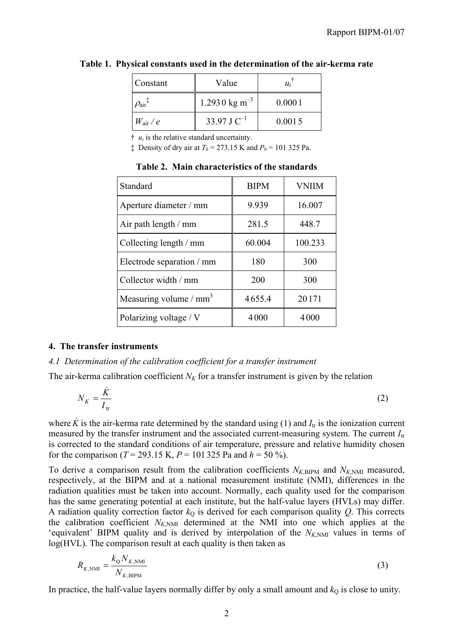| Constant             | Value                     | $u_i$  |
|----------------------|---------------------------|--------|
| $\mathrm{O_{air}}^+$ | 1.2930 kg m <sup>-3</sup> | 0.0001 |
| $W_{\rm air}/e$      | 33.97 J $C^{-1}$          | 0.0015 |

**Table 1. Physical constants used in the determination of the air-kerma rate**

 $\ddot{\tau}$  *u<sub>i</sub>* is the relative standard uncertainty.

 $\pm$  Density of dry air at  $T_0 = 273.15$  K and  $P_0 = 101$  325 Pa.

| Standard                           | <b>BIPM</b> | <b>VNIIM</b> |
|------------------------------------|-------------|--------------|
| Aperture diameter / mm             | 9.939       | 16.007       |
| Air path length / mm               | 281.5       | 448.7        |
| Collecting length / mm             | 60.004      | 100.233      |
| Electrode separation / mm          | 180         | 300          |
| Collector width / mm               | 200         | 300          |
| Measuring volume / mm <sup>3</sup> | 4655.4      | 20171        |
| Polarizing voltage / V             | 4000        | 4000         |

**Table 2. Main characteristics of the standards**

#### **4. The transfer instruments**

#### *4.1 Determination of the calibration coefficient for a transfer instrument*

The air-kerma calibration coefficient  $N_K$  for a transfer instrument is given by the relation

$$
N_K = \frac{\dot{K}}{I_{\text{tr}}} \tag{2}
$$

where  $\dot{K}$  is the air-kerma rate determined by the standard using (1) and  $I_{tr}$  is the ionization current measured by the transfer instrument and the associated current-measuring system. The current *I*tr is corrected to the standard conditions of air temperature, pressure and relative humidity chosen for the comparison ( $T = 293.15$  K,  $P = 101325$  Pa and  $h = 50\%$ ).

To derive a comparison result from the calibration coefficients  $N_{K,BIPM}$  and  $N_{K,NM}$  measured, respectively, at the BIPM and at a national measurement institute (NMI), differences in the radiation qualities must be taken into account. Normally, each quality used for the comparison has the same generating potential at each institute, but the half-value layers (HVLs) may differ. A radiation quality correction factor  $k<sub>Q</sub>$  is derived for each comparison quality  $Q$ . This corrects the calibration coefficient  $N_{K>NM}$  determined at the NMI into one which applies at the 'equivalent' BIPM quality and is derived by interpolation of the  $N_{K,NMI}$  values in terms of log(HVL). The comparison result at each quality is then taken as

$$
R_{K,\text{NMI}} = \frac{k_{\text{Q}} N_{K,\text{NMI}}}{N_{K,\text{BIPM}}} \tag{3}
$$

In practice, the half-value layers normally differ by only a small amount and  $k<sub>Q</sub>$  is close to unity.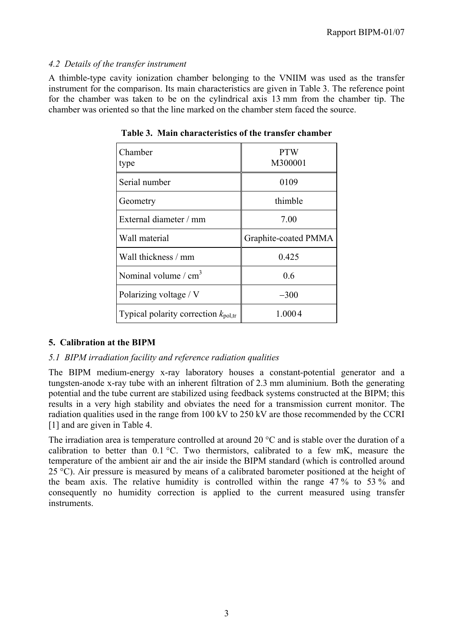#### *4.2 Details of the transfer instrument*

A thimble-type cavity ionization chamber belonging to the VNIIM was used as the transfer instrument for the comparison. Its main characteristics are given in Table 3. The reference point for the chamber was taken to be on the cylindrical axis 13 mm from the chamber tip. The chamber was oriented so that the line marked on the chamber stem faced the source.

| Chamber<br>type                                 | <b>PTW</b><br>M300001 |
|-------------------------------------------------|-----------------------|
| Serial number                                   | 0109                  |
| Geometry                                        | thimble               |
| External diameter / mm                          | 7.00                  |
| Wall material                                   | Graphite-coated PMMA  |
| Wall thickness / mm                             | 0.425                 |
| Nominal volume $/cm3$                           | 0.6                   |
| Polarizing voltage / V                          | $-300$                |
| Typical polarity correction $k_{\text{pol,tr}}$ | 1.0004                |

**Table 3. Main characteristics of the transfer chamber**

# **5. Calibration at the BIPM**

# *5.1 BIPM irradiation facility and reference radiation qualities*

The BIPM medium-energy x-ray laboratory houses a constant-potential generator and a tungsten-anode x-ray tube with an inherent filtration of 2.3 mm aluminium. Both the generating potential and the tube current are stabilized using feedback systems constructed at the BIPM; this results in a very high stability and obviates the need for a transmission current monitor. The radiation qualities used in the range from 100 kV to 250 kV are those recommended by the CCRI [1] and are given in Table 4.

The irradiation area is temperature controlled at around 20 °C and is stable over the duration of a calibration to better than  $0.1 \degree C$ . Two thermistors, calibrated to a few mK, measure the temperature of the ambient air and the air inside the BIPM standard (which is controlled around 25 °C). Air pressure is measured by means of a calibrated barometer positioned at the height of the beam axis. The relative humidity is controlled within the range 47 % to 53 % and consequently no humidity correction is applied to the current measured using transfer instruments.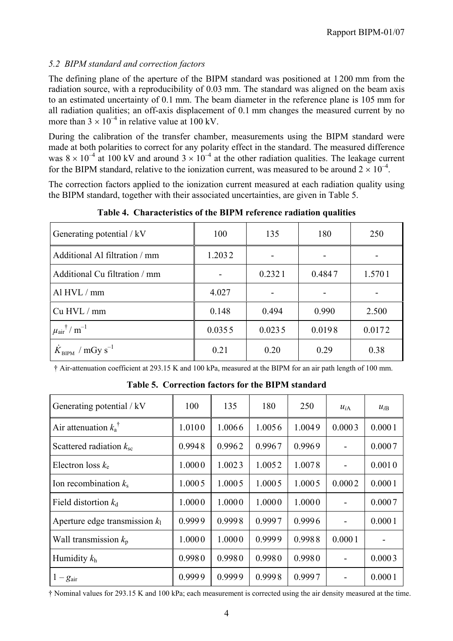# *5.2 BIPM standard and correction factors*

The defining plane of the aperture of the BIPM standard was positioned at 1 200 mm from the radiation source, with a reproducibility of 0.03 mm. The standard was aligned on the beam axis to an estimated uncertainty of 0.1 mm. The beam diameter in the reference plane is 105 mm for all radiation qualities; an off-axis displacement of 0.1 mm changes the measured current by no more than  $3 \times 10^{-4}$  in relative value at 100 kV.

During the calibration of the transfer chamber, measurements using the BIPM standard were made at both polarities to correct for any polarity effect in the standard. The measured difference was  $8 \times 10^{-4}$  at 100 kV and around  $3 \times 10^{-4}$  at the other radiation qualities. The leakage current for the BIPM standard, relative to the ionization current, was measured to be around  $2 \times 10^{-4}$ .

The correction factors applied to the ionization current measured at each radiation quality using the BIPM standard, together with their associated uncertainties, are given in Table 5.

| Generating potential / kV                           | 100    | 135    | 180    | 250    |
|-----------------------------------------------------|--------|--------|--------|--------|
| Additional Al filtration / mm                       | 1.2032 |        |        |        |
| Additional Cu filtration / mm                       |        | 0.2321 | 0.4847 | 1.5701 |
| Al HVL / mm                                         | 4.027  |        |        |        |
| Cu HVL / mm                                         | 0.148  | 0.494  | 0.990  | 2.500  |
| $\mu$ <sub>air</sub> <sup>†</sup> / m <sup>-1</sup> | 0.0355 | 0.0235 | 0.0198 | 0.0172 |
| $\dot{K}_{\text{BIPM}}$ / mGy s <sup>-1</sup>       | 0.21   | 0.20   | 0.29   | 0.38   |

**Table 4. Characteristics of the BIPM reference radiation qualities**

† Air-attenuation coefficient at 293.15 K and 100 kPa, measured at the BIPM for an air path length of 100 mm.

**Table 5. Correction factors for the BIPM standard**

| Generating potential / kV        | 100    | 135    | 180    | 250    | $u_{iA}$                 | $u_{iB}$ |
|----------------------------------|--------|--------|--------|--------|--------------------------|----------|
| Air attenuation $k_a^{\dagger}$  | 1.0100 | 1.0066 | 1.0056 | 1.0049 | 0.0003                   | 0.0001   |
| Scattered radiation $k_{\rm sc}$ | 0.9948 | 0.9962 | 0.9967 | 0.9969 | $\blacksquare$           | 0.0007   |
| Electron loss $k_e$              | 1.0000 | 1.0023 | 1.0052 | 1.0078 | $\overline{\phantom{a}}$ | 0.0010   |
| Ion recombination $k_s$          | 1.0005 | 1.0005 | 1.0005 | 1.0005 | 0.0002                   | 0.0001   |
| Field distortion $k_d$           | 1.0000 | 1.0000 | 1.0000 | 1.0000 |                          | 0.0007   |
| Aperture edge transmission $k_1$ | 0.9999 | 0.9998 | 0.9997 | 0.9996 | $\blacksquare$           | 0.0001   |
| Wall transmission $k_p$          | 1.0000 | 1.0000 | 0.9999 | 0.9988 | 0.0001                   |          |
| Humidity $k_h$                   | 0.9980 | 0.9980 | 0.9980 | 0.9980 |                          | 0.0003   |
| $1-g_{\text{air}}$               | 0.9999 | 0.9999 | 0.9998 | 0.9997 |                          | 0.0001   |

† Nominal values for 293.15 K and 100 kPa; each measurement is corrected using the air density measured at the time.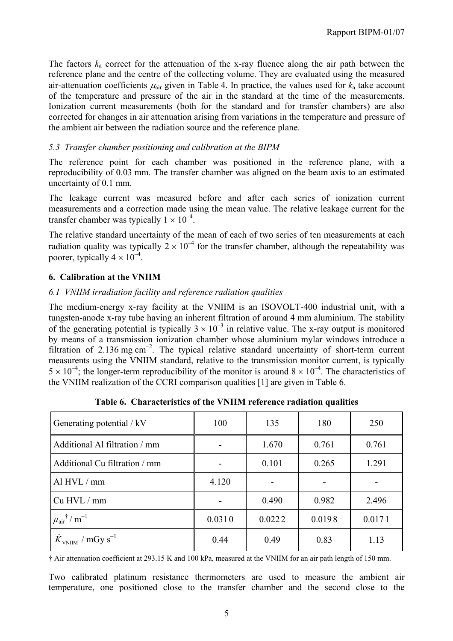The factors  $k_a$  correct for the attenuation of the x-ray fluence along the air path between the reference plane and the centre of the collecting volume. They are evaluated using the measured air-attenuation coefficients  $\mu_{air}$  given in Table 4. In practice, the values used for  $k_a$  take account of the temperature and pressure of the air in the standard at the time of the measurements. Ionization current measurements (both for the standard and for transfer chambers) are also corrected for changes in air attenuation arising from variations in the temperature and pressure of the ambient air between the radiation source and the reference plane.

# *5.3 Transfer chamber positioning and calibration at the BIPM*

The reference point for each chamber was positioned in the reference plane, with a reproducibility of 0.03 mm. The transfer chamber was aligned on the beam axis to an estimated uncertainty of 0.1 mm.

The leakage current was measured before and after each series of ionization current measurements and a correction made using the mean value. The relative leakage current for the transfer chamber was typically  $1 \times 10^{-4}$ .

The relative standard uncertainty of the mean of each of two series of ten measurements at each radiation quality was typically  $2 \times 10^{-4}$  for the transfer chamber, although the repeatability was poorer, typically  $4 \times 10^{-4}$ .

# **6. Calibration at the VNIIM**

# *6.1 VNIIM irradiation facility and reference radiation qualities*

The medium-energy x-ray facility at the VNIIM is an ISOVOLT-400 industrial unit, with a tungsten-anode x-ray tube having an inherent filtration of around 4 mm aluminium. The stability of the generating potential is typically  $3 \times 10^{-3}$  in relative value. The x-ray output is monitored by means of a transmission ionization chamber whose aluminium mylar windows introduce a filtration of  $2.136$  mg cm<sup>-2</sup>. The typical relative standard uncertainty of short-term current measurents using the VNIIM standard, relative to the transmission monitor current, is typically  $5 \times 10^{-4}$ ; the longer-term reproducibility of the monitor is around  $8 \times 10^{-4}$ . The characteristics of the VNIIM realization of the CCRI comparison qualities [1] are given in Table 6.

| Generating potential / kV                         | 100    | 135    | 180    | 250    |
|---------------------------------------------------|--------|--------|--------|--------|
| Additional Al filtration / mm                     |        | 1.670  | 0.761  | 0.761  |
| Additional Cu filtration / mm                     |        | 0.101  | 0.265  | 1.291  |
| Al HVL / mm                                       | 4.120  |        |        |        |
| Cu HVL / mm                                       |        | 0.490  | 0.982  | 2.496  |
| $\mu_{\text{air}}$ <sup>†</sup> / m <sup>-1</sup> | 0.0310 | 0.0222 | 0.0198 | 0.0171 |
| $\dot{K}_{\text{VNIIM}}$ / mGy s <sup>-1</sup>    | 0.44   | 0.49   | 0.83   | 1.13   |

† Air attenuation coefficient at 293.15 K and 100 kPa, measured at the VNIIM for an air path length of 150 mm.

Two calibrated platinum resistance thermometers are used to measure the ambient air temperature, one positioned close to the transfer chamber and the second close to the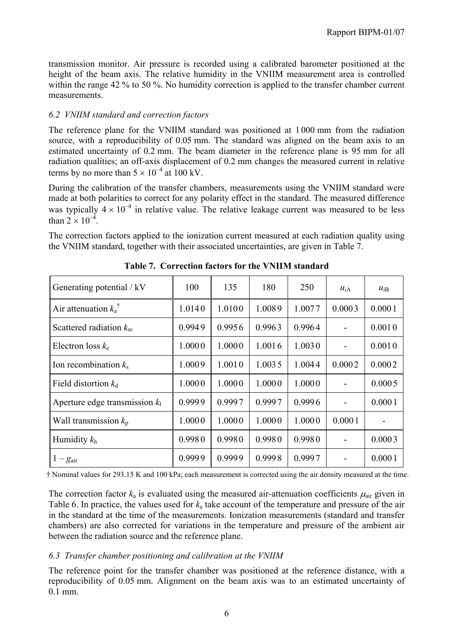transmission monitor. Air pressure is recorded using a calibrated barometer positioned at the height of the beam axis. The relative humidity in the VNIIM measurement area is controlled within the range 42 % to 50 %. No humidity correction is applied to the transfer chamber current measurements.

# *6.2 VNIIM standard and correction factors*

The reference plane for the VNIIM standard was positioned at 1 000 mm from the radiation source, with a reproducibility of 0.05 mm. The standard was aligned on the beam axis to an estimated uncertainty of 0.2 mm. The beam diameter in the reference plane is 95 mm for all radiation qualities; an off-axis displacement of 0.2 mm changes the measured current in relative terms by no more than  $5 \times 10^{-4}$  at 100 kV.

During the calibration of the transfer chambers, measurements using the VNIIM standard were made at both polarities to correct for any polarity effect in the standard. The measured difference was typically  $4 \times 10^{-4}$  in relative value. The relative leakage current was measured to be less than  $2 \times 10^{-4}$ .

The correction factors applied to the ionization current measured at each radiation quality using the VNIIM standard, together with their associated uncertainties, are given in Table 7.

| Generating potential / kV        | 100    | 135    | 180    | 250    | $u_{iA}$       | $u_{iB}$ |
|----------------------------------|--------|--------|--------|--------|----------------|----------|
| Air attenuation $k_a^{\dagger}$  | 1.0140 | 1.0100 | 1.0089 | 1.0077 | 0.0003         | 0.0001   |
| Scattered radiation $k_{\rm sc}$ | 0.9949 | 0.9956 | 0.9963 | 0.9964 | $\blacksquare$ | 0.0010   |
| Electron loss $k_e$              | 1.0000 | 1.0000 | 1.0016 | 1.0030 | $\blacksquare$ | 0.0010   |
| Ion recombination $k_s$          | 1.0009 | 1.0010 | 1.0035 | 1.0044 | 0.0002         | 0.0002   |
| Field distortion $k_d$           | 1.0000 | 1.0000 | 1.0000 | 1.0000 | $\blacksquare$ | 0.0005   |
| Aperture edge transmission $k_1$ | 0.9999 | 0.9997 | 0.9997 | 0.9996 | $\blacksquare$ | 0.0001   |
| Wall transmission $k_{p}$        | 1.0000 | 1.0000 | 1.0000 | 1.0000 | 0.0001         |          |
| Humidity $k_h$                   | 0.9980 | 0.9980 | 0.9980 | 0.9980 | $\blacksquare$ | 0.0003   |
| $1-g_{\text{air}}$               | 0.9999 | 0.9999 | 0.9998 | 0.9997 | -              | 0.0001   |

**Table 7. Correction factors for the VNIIM standard**

† Nominal values for 293.15 K and 100 kPa; each measurement is corrected using the air density measured at the time.

The correction factor  $k_a$  is evaluated using the measured air-attenuation coefficients  $\mu_{air}$  given in Table 6. In practice, the values used for *k*a take account of the temperature and pressure of the air in the standard at the time of the measurements. Ionization measurements (standard and transfer chambers) are also corrected for variations in the temperature and pressure of the ambient air between the radiation source and the reference plane.

#### *6.3 Transfer chamber positioning and calibration at the VNIIM*

The reference point for the transfer chamber was positioned at the reference distance, with a reproducibility of 0.05 mm. Alignment on the beam axis was to an estimated uncertainty of 0.1 mm.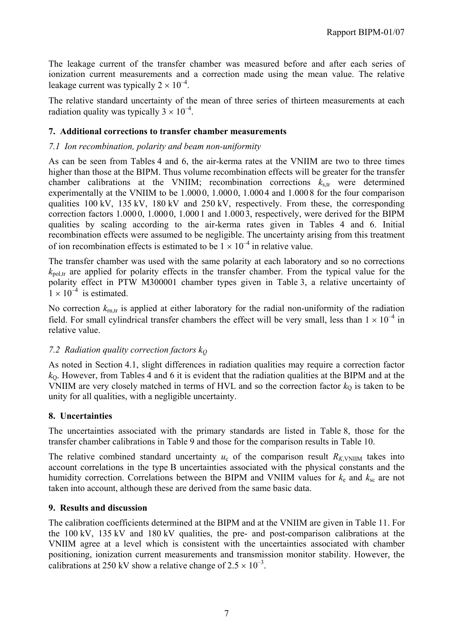The leakage current of the transfer chamber was measured before and after each series of ionization current measurements and a correction made using the mean value. The relative leakage current was typically  $2 \times 10^{-4}$ .

The relative standard uncertainty of the mean of three series of thirteen measurements at each radiation quality was typically  $3 \times 10^{-4}$ .

#### **7. Additional corrections to transfer chamber measurements**

#### *7.1 Ion recombination, polarity and beam non-uniformity*

As can be seen from Tables 4 and 6, the air-kerma rates at the VNIIM are two to three times higher than those at the BIPM. Thus volume recombination effects will be greater for the transfer chamber calibrations at the VNIIM; recombination corrections  $k_{\text{str}}$  were determined experimentally at the VNIIM to be 1.000 0, 1.000 0, 1.000 4 and 1.000 8 for the four comparison qualities 100 kV, 135 kV, 180 kV and 250 kV, respectively. From these, the corresponding correction factors 1.000 0, 1.000 0, 1.000 1 and 1.000 3, respectively, were derived for the BIPM qualities by scaling according to the air-kerma rates given in Tables 4 and 6. Initial recombination effects were assumed to be negligible. The uncertainty arising from this treatment of ion recombination effects is estimated to be  $1 \times 10^{-4}$  in relative value.

The transfer chamber was used with the same polarity at each laboratory and so no corrections  $k_{\text{pol tr}}$  are applied for polarity effects in the transfer chamber. From the typical value for the polarity effect in PTW M300001 chamber types given in Table 3, a relative uncertainty of  $1 \times 10^{-4}$  is estimated.

No correction  $k_{\text{m,tr}}$  is applied at either laboratory for the radial non-uniformity of the radiation field. For small cylindrical transfer chambers the effect will be very small, less than  $1 \times 10^{-4}$  in relative value.

# *7.2 Radiation quality correction factors kQ*

As noted in Section 4.1, slight differences in radiation qualities may require a correction factor  $k<sub>0</sub>$ . However, from Tables 4 and 6 it is evident that the radiation qualities at the BIPM and at the VNIIM are very closely matched in terms of HVL and so the correction factor  $k_0$  is taken to be unity for all qualities, with a negligible uncertainty.

#### **8. Uncertainties**

The uncertainties associated with the primary standards are listed in Table 8, those for the transfer chamber calibrations in Table 9 and those for the comparison results in Table 10.

The relative combined standard uncertainty  $u_c$  of the comparison result  $R_{K}$ <sub>VNIIM</sub> takes into account correlations in the type B uncertainties associated with the physical constants and the humidity correction. Correlations between the BIPM and VNIIM values for  $k_e$  and  $k_{sc}$  are not taken into account, although these are derived from the same basic data.

#### **9. Results and discussion**

The calibration coefficients determined at the BIPM and at the VNIIM are given in Table 11. For the 100 kV, 135 kV and 180 kV qualities, the pre- and post-comparison calibrations at the VNIIM agree at a level which is consistent with the uncertainties associated with chamber positioning, ionization current measurements and transmission monitor stability. However, the calibrations at 250 kV show a relative change of  $2.5 \times 10^{-3}$ .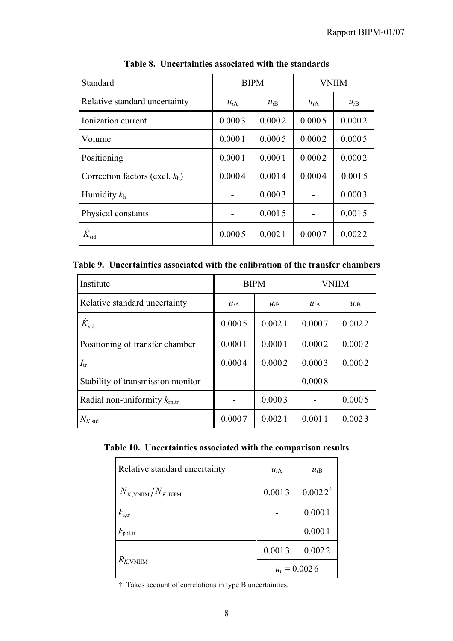| Standard                          | <b>BIPM</b>      |          | <b>VNIIM</b> |          |  |
|-----------------------------------|------------------|----------|--------------|----------|--|
| Relative standard uncertainty     | $u_{iA}$         | $u_{iB}$ | $u_{iA}$     | $u_{iB}$ |  |
| Ionization current                | 0.0003           | 0.0002   |              | 0.0002   |  |
| Volume                            | 0.0001           | 0.0005   |              | 0.0005   |  |
| Positioning                       | 0.0001<br>0.0001 |          | 0.0002       | 0.0002   |  |
| Correction factors (excl. $k_h$ ) | 0.0004           | 0.0014   | 0.0004       | 0.0015   |  |
| Humidity $k_h$                    |                  | 0.0003   |              | 0.0003   |  |
| Physical constants                | 0.0015           |          |              | 0.0015   |  |
| $\dot{K}_{\rm std}$               | 0.0005           | 0.0021   | 0.0007       | 0.0022   |  |

**Table 8. Uncertainties associated with the standards**

|  | Table 9. Uncertainties associated with the calibration of the transfer chambers |  |  |  |  |  |  |
|--|---------------------------------------------------------------------------------|--|--|--|--|--|--|
|--|---------------------------------------------------------------------------------|--|--|--|--|--|--|

| Institute                                |                  | <b>BIPM</b> | <b>VNIIM</b> |          |  |
|------------------------------------------|------------------|-------------|--------------|----------|--|
| Relative standard uncertainty            | $u_{iA}$         | $u_{iB}$    |              | $u_{iB}$ |  |
| $\dot{K}_{\rm std}$                      | 0.0005           | 0.0021      | 0.0007       | 0.0022   |  |
| Positioning of transfer chamber          | 0.0001<br>0.0001 |             | 0.0002       | 0.0002   |  |
| $I_{tr}$                                 | 0.0004           | 0.0002      | 0.0003       | 0.0002   |  |
| Stability of transmission monitor        |                  |             | 0.0008       |          |  |
| Radial non-uniformity $k_{\text{rn,tr}}$ |                  | 0.0003      |              | 0.0005   |  |
| $N_{K,\mathrm{std}}$                     | 0.0007           | 0.0021      | 0.0011       | 0.0023   |  |

| Table 10. Uncertainties associated with the comparison results |  |  |  |
|----------------------------------------------------------------|--|--|--|
|                                                                |  |  |  |

| Relative standard uncertainty          | $u_{iA}$       | $u_{iB}$           |
|----------------------------------------|----------------|--------------------|
| $N_{K,\text{VNIIM}}/N_{K,\text{BIPM}}$ | 0.0013         | $0.0022^{\dagger}$ |
| $k_{\rm s,tr}$                         |                | 0.0001             |
| $k_{\text{pol,tr}}$                    |                | 0.0001             |
| $R_{K, VNIIM}$                         | 0.0013         | 0.0022             |
|                                        | $u_c = 0.0026$ |                    |

† Takes account of correlations in type B uncertainties.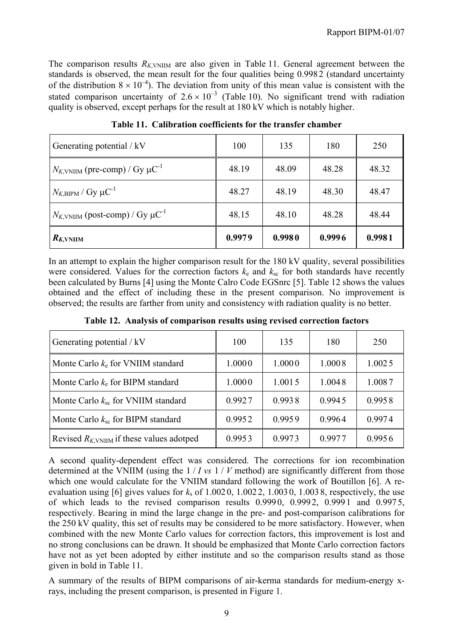The comparison results  $R_{K, VNIIM}$  are also given in Table 11. General agreement between the standards is observed, the mean result for the four qualities being 0.9982 (standard uncertainty of the distribution  $8 \times 10^{-4}$ ). The deviation from unity of this mean value is consistent with the stated comparison uncertainty of  $2.6 \times 10^{-3}$  (Table 10). No significant trend with radiation quality is observed, except perhaps for the result at 180 kV which is notably higher.

| Generating potential / kV                                  | 100    | 135    | 180    | 250    |
|------------------------------------------------------------|--------|--------|--------|--------|
| $N_{K, \text{VNIIM}}$ (pre-comp) / Gy $\mu \text{C}^{-1}$  | 48.19  | 48.09  | 48.28  | 48.32  |
| $N_{K,\text{BIPM}}/Gy \mu C^{-1}$                          | 48.27  | 48.19  | 48.30  | 48.47  |
| $N_{K, \text{VNIIM}}$ (post-comp) / Gy $\mu \text{C}^{-1}$ | 48.15  | 48.10  | 48.28  | 48.44  |
| $R_{K, VNIIM}$                                             | 0.9979 | 0.9980 | 0.9996 | 0.9981 |

**Table 11. Calibration coefficients for the transfer chamber**

In an attempt to explain the higher comparison result for the 180 kV quality, several possibilities were considered. Values for the correction factors  $k_e$  and  $k_{sc}$  for both standards have recently been calculated by Burns [4] using the Monte Calro Code EGSnrc [5]. Table 12 shows the values obtained and the effect of including these in the present comparison. No improvement is observed; the results are farther from unity and consistency with radiation quality is no better.

| Generating potential / kV                      | 100    | 135    | 180    | 250    |
|------------------------------------------------|--------|--------|--------|--------|
| Monte Carlo $k_e$ for VNIIM standard           | 1.0000 | 1.0000 | 1.0008 | 1.0025 |
| Monte Carlo $k_e$ for BIPM standard            | 1.0000 | 1.0015 | 1.0048 | 1.0087 |
| Monte Carlo $k_{\rm sc}$ for VNIIM standard    | 0.9927 | 0.9938 | 0.9945 | 0.9958 |
| Monte Carlo $k_{\rm sc}$ for BIPM standard     | 0.9952 | 0.9959 | 0.9964 | 0.9974 |
| Revised $R_{K, VNIIM}$ if these values adotped | 0.9953 | 0.9973 | 0.9977 | 0.9956 |

**Table 12. Analysis of comparison results using revised correction factors**

A second quality-dependent effect was considered. The corrections for ion recombination determined at the VNIIM (using the 1 / *I vs* 1 / *V* method) are significantly different from those which one would calculate for the VNIIM standard following the work of Boutillon [6]. A reevaluation using [6] gives values for *k*s of 1.002 0, 1.002 2, 1.003 0, 1.003 8, respectively, the use of which leads to the revised comparison results  $0.9990$ ,  $0.9992$ ,  $0.9991$  and  $0.9975$ , respectively. Bearing in mind the large change in the pre- and post-comparison calibrations for the 250 kV quality, this set of results may be considered to be more satisfactory. However, when combined with the new Monte Carlo values for correction factors, this improvement is lost and no strong conclusions can be drawn. It should be emphasized that Monte Carlo correction factors have not as yet been adopted by either institute and so the comparison results stand as those given in bold in Table 11.

A summary of the results of BIPM comparisons of air-kerma standards for medium-energy xrays, including the present comparison, is presented in Figure 1.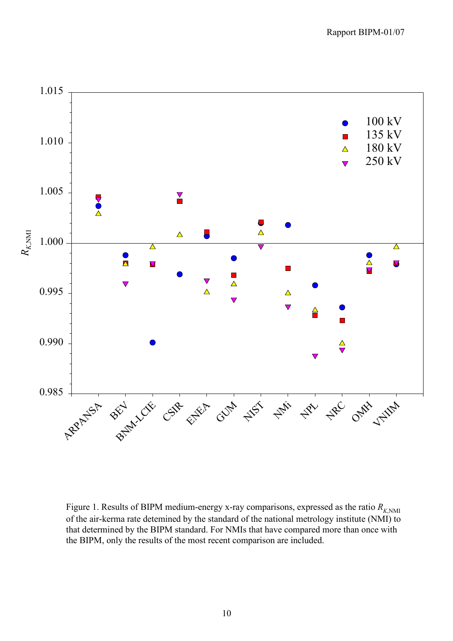

Figure 1. Results of BIPM medium-energy x-ray comparisons, expressed as the ratio  $R_{K,\text{NMI}}$ of the air-kerma rate detemined by the standard of the national metrology institute (NMI) to that determined by the BIPM standard. For NMIs that have compared more than once with the BIPM, only the results of the most recent comparison are included.